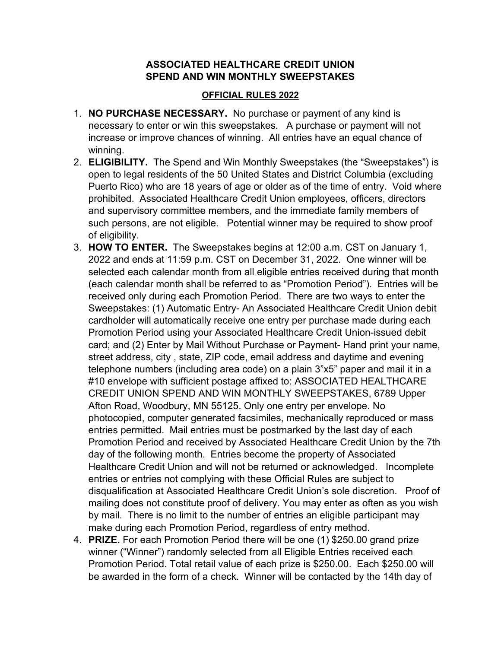## **ASSOCIATED HEALTHCARE CREDIT UNION SPEND AND WIN MONTHLY SWEEPSTAKES**

## **OFFICIAL RULES 2022**

- 1. **NO PURCHASE NECESSARY.** No purchase or payment of any kind is necessary to enter or win this sweepstakes. A purchase or payment will not increase or improve chances of winning. All entries have an equal chance of winning.
- 2. **ELIGIBILITY.** The Spend and Win Monthly Sweepstakes (the "Sweepstakes") is open to legal residents of the 50 United States and District Columbia (excluding Puerto Rico) who are 18 years of age or older as of the time of entry. Void where prohibited. Associated Healthcare Credit Union employees, officers, directors and supervisory committee members, and the immediate family members of such persons, are not eligible. Potential winner may be required to show proof of eligibility.
- 3. **HOW TO ENTER.** The Sweepstakes begins at 12:00 a.m. CST on January 1, 2022 and ends at 11:59 p.m. CST on December 31, 2022. One winner will be selected each calendar month from all eligible entries received during that month (each calendar month shall be referred to as "Promotion Period"). Entries will be received only during each Promotion Period. There are two ways to enter the Sweepstakes: (1) Automatic Entry- An Associated Healthcare Credit Union debit cardholder will automatically receive one entry per purchase made during each Promotion Period using your Associated Healthcare Credit Union-issued debit card; and (2) Enter by Mail Without Purchase or Payment- Hand print your name, street address, city , state, ZIP code, email address and daytime and evening telephone numbers (including area code) on a plain 3"x5" paper and mail it in a #10 envelope with sufficient postage affixed to: ASSOCIATED HEALTHCARE CREDIT UNION SPEND AND WIN MONTHLY SWEEPSTAKES, 6789 Upper Afton Road, Woodbury, MN 55125. Only one entry per envelope. No photocopied, computer generated facsimiles, mechanically reproduced or mass entries permitted. Mail entries must be postmarked by the last day of each Promotion Period and received by Associated Healthcare Credit Union by the 7th day of the following month. Entries become the property of Associated Healthcare Credit Union and will not be returned or acknowledged. Incomplete entries or entries not complying with these Official Rules are subject to disqualification at Associated Healthcare Credit Union's sole discretion. Proof of mailing does not constitute proof of delivery. You may enter as often as you wish by mail. There is no limit to the number of entries an eligible participant may make during each Promotion Period, regardless of entry method.
- 4. **PRIZE.** For each Promotion Period there will be one (1) \$250.00 grand prize winner ("Winner") randomly selected from all Eligible Entries received each Promotion Period. Total retail value of each prize is \$250.00. Each \$250.00 will be awarded in the form of a check. Winner will be contacted by the 14th day of